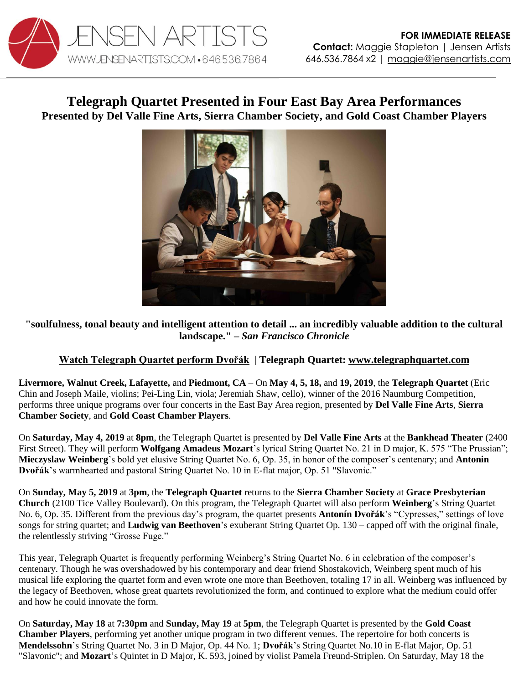

## **Telegraph Quartet Presented in Four East Bay Area Performances Presented by Del Valle Fine Arts, Sierra Chamber Society, and Gold Coast Chamber Players**



## **"soulfulness, tonal beauty and intelligent attention to detail ... an incredibly valuable addition to the cultural landscape." –** *San Francisco Chronicle*

## **[Watch Telegraph Quartet perform Dvořák](https://youtu.be/dgI4xUcPUZ8)** | **Telegraph Quartet: [www.telegraphquartet.com](http://www.telegraphquartet.com/)**

**Livermore, Walnut Creek, Lafayette,** and **Piedmont, CA** – On **May 4, 5, 18,** and **19, 2019**, the **Telegraph Quartet** (Eric Chin and Joseph Maile, violins; Pei-Ling Lin, viola; Jeremiah Shaw, cello), winner of the 2016 Naumburg Competition, performs three unique programs over four concerts in the East Bay Area region, presented by **Del Valle Fine Arts**, **Sierra Chamber Society**, and **Gold Coast Chamber Players**.

On **Saturday, May 4, 2019** at **8pm**, the Telegraph Quartet is presented by **Del Valle Fine Arts** at the **Bankhead Theater** (2400 First Street). They will perform **Wolfgang Amadeus Mozart**'s lyrical String Quartet No. 21 in D major, K. 575 "The Prussian"; **Mieczyslaw Weinberg**'s bold yet elusive String Quartet No. 6, Op. 35, in honor of the composer's centenary; and **Antonin Dvořák**'s warmhearted and pastoral String Quartet No. 10 in E-flat major, Op. 51 "Slavonic."

On **Sunday, May 5, 2019** at **3pm**, the **Telegraph Quartet** returns to the **Sierra Chamber Society** at **Grace Presbyterian Church** (2100 Tice Valley Boulevard). On this program, the Telegraph Quartet will also perform **Weinberg**'s String Quartet No. 6, Op. 35. Different from the previous day's program, the quartet presents **Antonín Dvořák**'s "Cypresses," settings of love songs for string quartet; and **Ludwig van Beethoven**'s exuberant String Quartet Op. 130 – capped off with the original finale, the relentlessly striving "Grosse Fuge."

This year, Telegraph Quartet is frequently performing Weinberg's String Quartet No. 6 in celebration of the composer's centenary. Though he was overshadowed by his contemporary and dear friend Shostakovich, Weinberg spent much of his musical life exploring the quartet form and even wrote one more than Beethoven, totaling 17 in all. Weinberg was influenced by the legacy of Beethoven, whose great quartets revolutionized the form, and continued to explore what the medium could offer and how he could innovate the form.

On **Saturday, May 18** at **7:30pm** and **Sunday, May 19** at **5pm**, the Telegraph Quartet is presented by the **Gold Coast Chamber Players**, performing yet another unique program in two different venues. The repertoire for both concerts is **Mendelssohn**'s String Quartet No. 3 in D Major, Op. 44 No. 1; **Dvořák**'s String Quartet No.10 in E-flat Major, Op. 51 "Slavonic"; and **Mozart**'s Quintet in D Major, K. 593, joined by violist Pamela Freund-Striplen. On Saturday, May 18 the